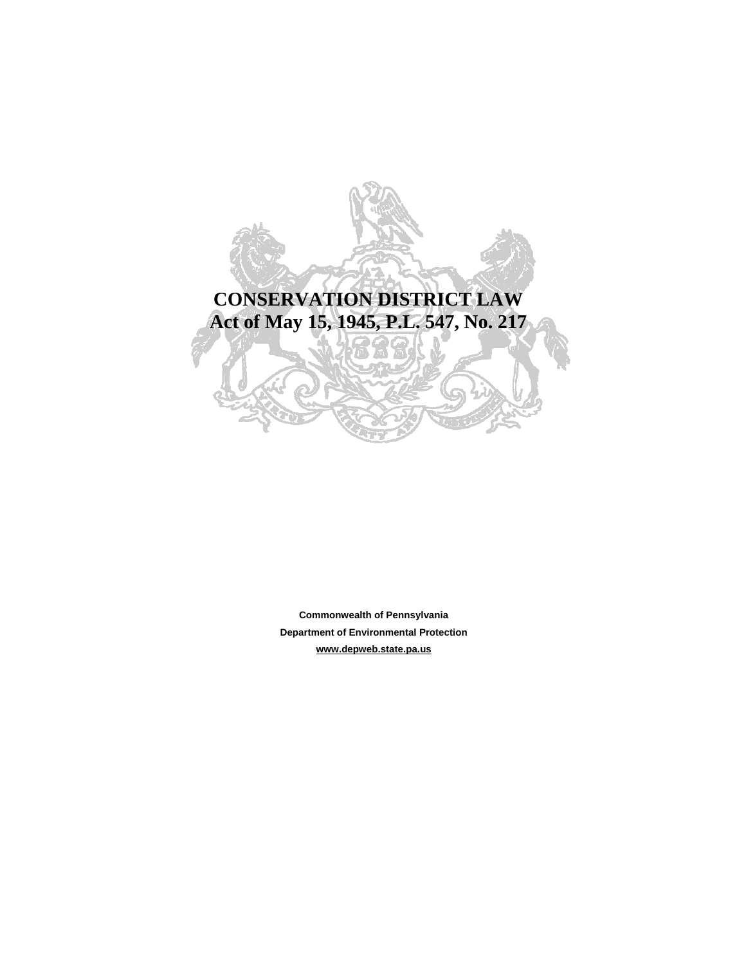# **CONSERVATION DISTRICT LAW Act of May 15, 1945, P.L. 547, No. 217**

**Commonwealth of Pennsylvania Department of Environmental Protection [www.depweb.state.pa.us](http://www.depweb.state.pa.us/)**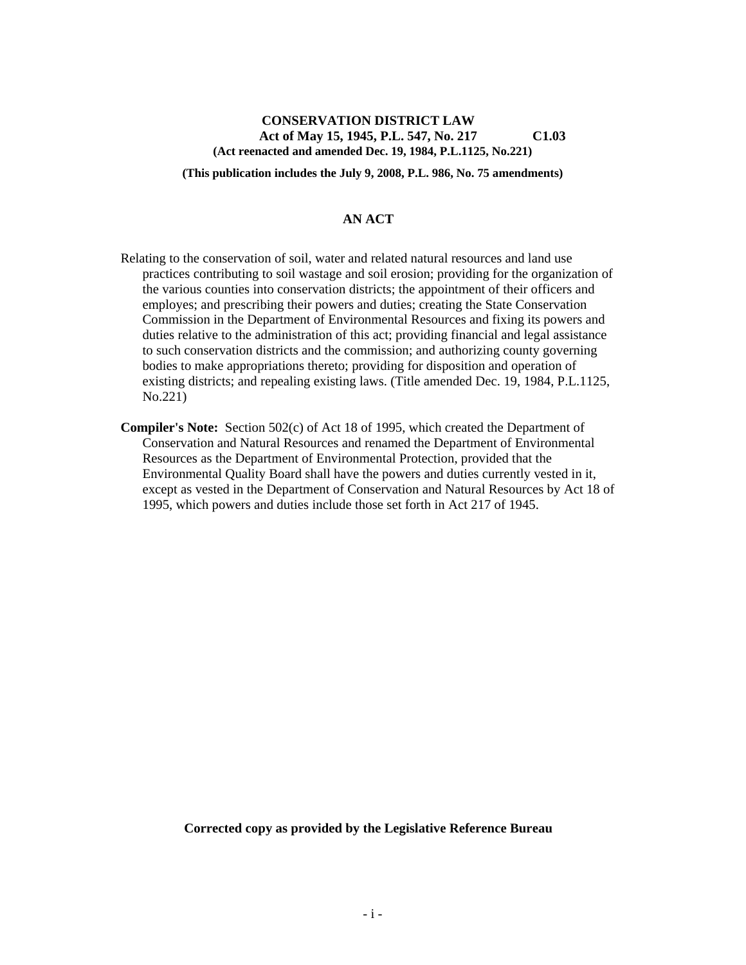## **CONSERVATION DISTRICT LAW Act of May 15, 1945, P.L. 547, No. 217 C1.03 (Act reenacted and amended Dec. 19, 1984, P.L.1125, No.221)**

**(This publication includes the July 9, 2008, P.L. 986, No. 75 amendments)** 

#### **AN ACT**

- Relating to the conservation of soil, water and related natural resources and land use practices contributing to soil wastage and soil erosion; providing for the organization of the various counties into conservation districts; the appointment of their officers and employes; and prescribing their powers and duties; creating the State Conservation Commission in the Department of Environmental Resources and fixing its powers and duties relative to the administration of this act; providing financial and legal assistance to such conservation districts and the commission; and authorizing county governing bodies to make appropriations thereto; providing for disposition and operation of existing districts; and repealing existing laws. (Title amended Dec. 19, 1984, P.L.1125, No.221)
- **Compiler's Note:** Section 502(c) of Act 18 of 1995, which created the Department of Conservation and Natural Resources and renamed the Department of Environmental Resources as the Department of Environmental Protection, provided that the Environmental Quality Board shall have the powers and duties currently vested in it, except as vested in the Department of Conservation and Natural Resources by Act 18 of 1995, which powers and duties include those set forth in Act 217 of 1945.

**Corrected copy as provided by the Legislative Reference Bureau**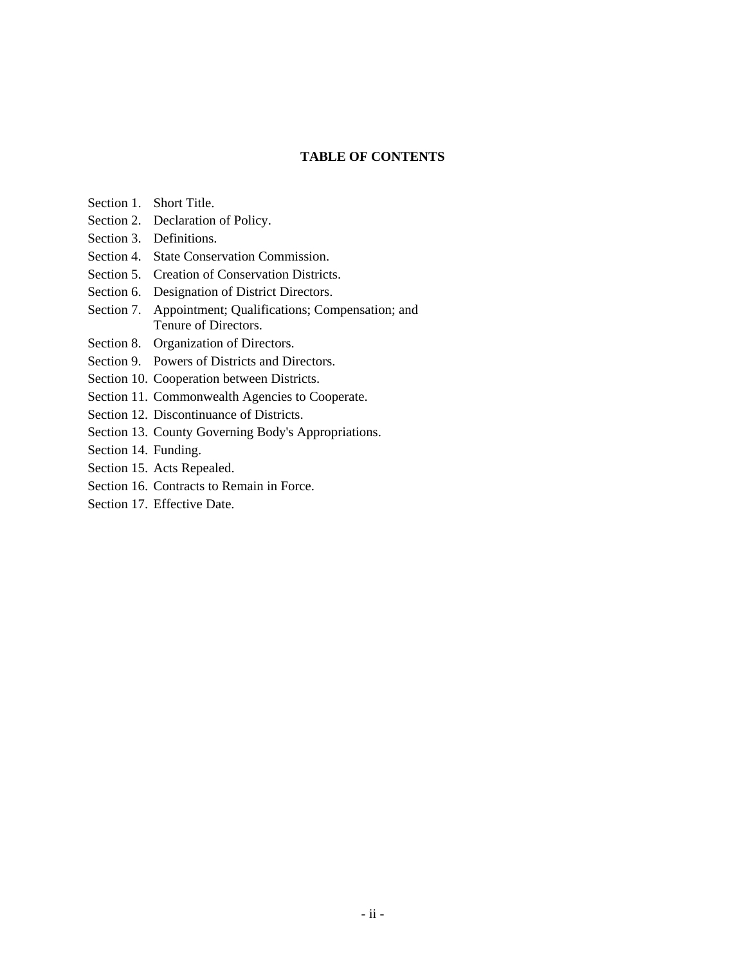# **TABLE OF CONTENTS**

- [Section 1.](http://ldp.legis.state.pa.us/WU01/LI/LI/USS/1945/0/0217.000.001.000..HTM) Short Title.
- [Section 2.](http://ldp.legis.state.pa.us/WU01/LI/LI/USS/1945/0/0217.000.002.000..HTM) Declaration of Policy.
- [Section 3.](http://ldp.legis.state.pa.us/WU01/LI/LI/USS/1945/0/0217.000.003.000..HTM) Definitions.
- [Section 4.](http://ldp.legis.state.pa.us/WU01/LI/LI/USS/1945/0/0217.000.004.000..HTM) State Conservation Commission.
- [Section 5.](http://ldp.legis.state.pa.us/WU01/LI/LI/USS/1945/0/0217.000.005.000..HTM) Creation of Conservation Districts.
- [Section 6.](http://ldp.legis.state.pa.us/WU01/LI/LI/USS/1945/0/0217.000.006.000..HTM) Designation of District Directors.
- [Section 7.](http://ldp.legis.state.pa.us/WU01/LI/LI/USS/1945/0/0217.000.007.000..HTM) Appointment; Qualifications; Compensation; and Tenure of Directors.
- [Section 8.](http://ldp.legis.state.pa.us/WU01/LI/LI/USS/1945/0/0217.000.008.000..HTM) Organization of Directors.
- [Section 9.](http://ldp.legis.state.pa.us/WU01/LI/LI/USS/1945/0/0217.000.009.000..HTM) Powers of Districts and Directors.
- [Section 10.](http://ldp.legis.state.pa.us/WU01/LI/LI/USS/1945/0/0217.000.010.000..HTM) Cooperation between Districts.
- [Section 11.](http://ldp.legis.state.pa.us/WU01/LI/LI/USS/1945/0/0217.000.011.000..HTM) Commonwealth Agencies to Cooperate.
- [Section 12.](http://ldp.legis.state.pa.us/WU01/LI/LI/USS/1945/0/0217.000.012.000..HTM) Discontinuance of Districts.
- [Section 13.](http://ldp.legis.state.pa.us/WU01/LI/LI/USS/1945/0/0217.000.013.000..HTM) County Governing Body's Appropriations.
- [Section 14.](http://ldp.legis.state.pa.us/WU01/LI/LI/USS/1945/0/0217.000.014.000..HTM) Funding.
- [Section 15.](http://ldp.legis.state.pa.us/WU01/LI/LI/USS/1945/0/0217.000.015.000..HTM) Acts Repealed.
- [Section 16.](http://ldp.legis.state.pa.us/WU01/LI/LI/USS/1945/0/0217.000.016.000..HTM) Contracts to Remain in Force.
- [Section 17.](http://ldp.legis.state.pa.us/WU01/LI/LI/USS/1945/0/0217.000.017.000..HTM) Effective Date.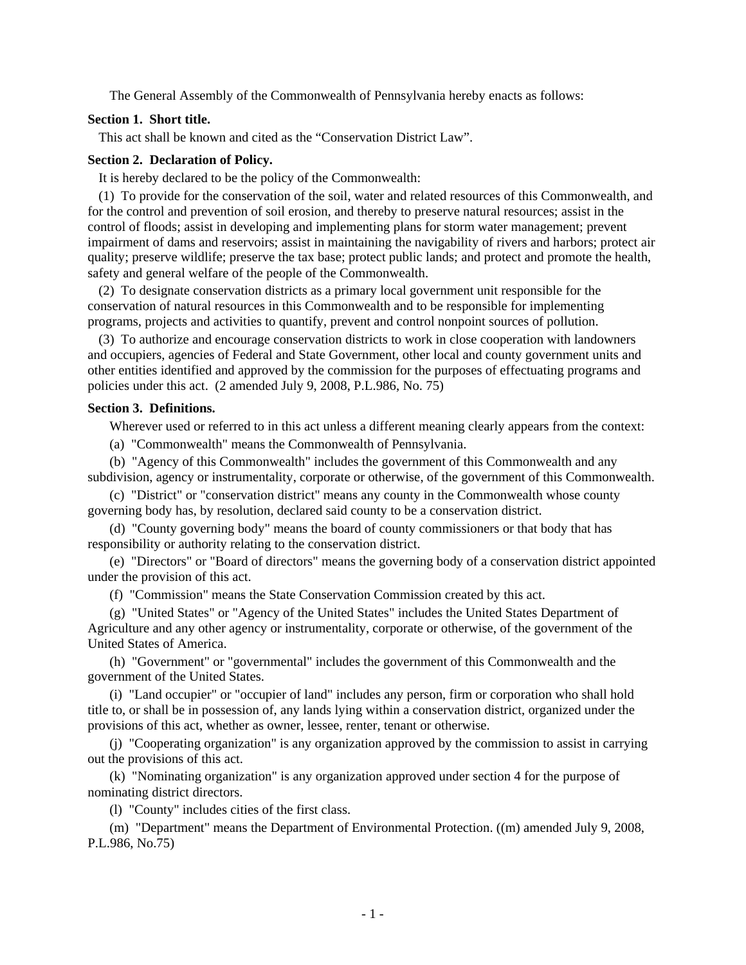The General Assembly of the Commonwealth of Pennsylvania hereby enacts as follows:

## **Section 1. Short title.**

This act shall be known and cited as the "Conservation District Law".

#### **Section 2. Declaration of Policy.**

It is hereby declared to be the policy of the Commonwealth:

(1) To provide for the conservation of the soil, water and related resources of this Commonwealth, and for the control and prevention of soil erosion, and thereby to preserve natural resources; assist in the control of floods; assist in developing and implementing plans for storm water management; prevent impairment of dams and reservoirs; assist in maintaining the navigability of rivers and harbors; protect air quality; preserve wildlife; preserve the tax base; protect public lands; and protect and promote the health, safety and general welfare of the people of the Commonwealth.

(2) To designate conservation districts as a primary local government unit responsible for the conservation of natural resources in this Commonwealth and to be responsible for implementing programs, projects and activities to quantify, prevent and control nonpoint sources of pollution.

(3) To authorize and encourage conservation districts to work in close cooperation with landowners and occupiers, agencies of Federal and State Government, other local and county government units and other entities identified and approved by the commission for the purposes of effectuating programs and policies under this act. (2 amended July 9, 2008, P.L.986, No. 75)

#### **Section 3. Definitions.**

Wherever used or referred to in this act unless a different meaning clearly appears from the context:

(a) "Commonwealth" means the Commonwealth of Pennsylvania.

(b) "Agency of this Commonwealth" includes the government of this Commonwealth and any subdivision, agency or instrumentality, corporate or otherwise, of the government of this Commonwealth.

(c) "District" or "conservation district" means any county in the Commonwealth whose county governing body has, by resolution, declared said county to be a conservation district.

(d) "County governing body" means the board of county commissioners or that body that has responsibility or authority relating to the conservation district.

(e) "Directors" or "Board of directors" means the governing body of a conservation district appointed under the provision of this act.

(f) "Commission" means the State Conservation Commission created by this act.

(g) "United States" or "Agency of the United States" includes the United States Department of Agriculture and any other agency or instrumentality, corporate or otherwise, of the government of the United States of America.

(h) "Government" or "governmental" includes the government of this Commonwealth and the government of the United States.

(i) "Land occupier" or "occupier of land" includes any person, firm or corporation who shall hold title to, or shall be in possession of, any lands lying within a conservation district, organized under the provisions of this act, whether as owner, lessee, renter, tenant or otherwise.

(j) "Cooperating organization" is any organization approved by the commission to assist in carrying out the provisions of this act.

(k) "Nominating organization" is any organization approved under section 4 for the purpose of nominating district directors.

(l) "County" includes cities of the first class.

(m) "Department" means the Department of Environmental Protection. ((m) amended July 9, 2008, P.L.986, No.75)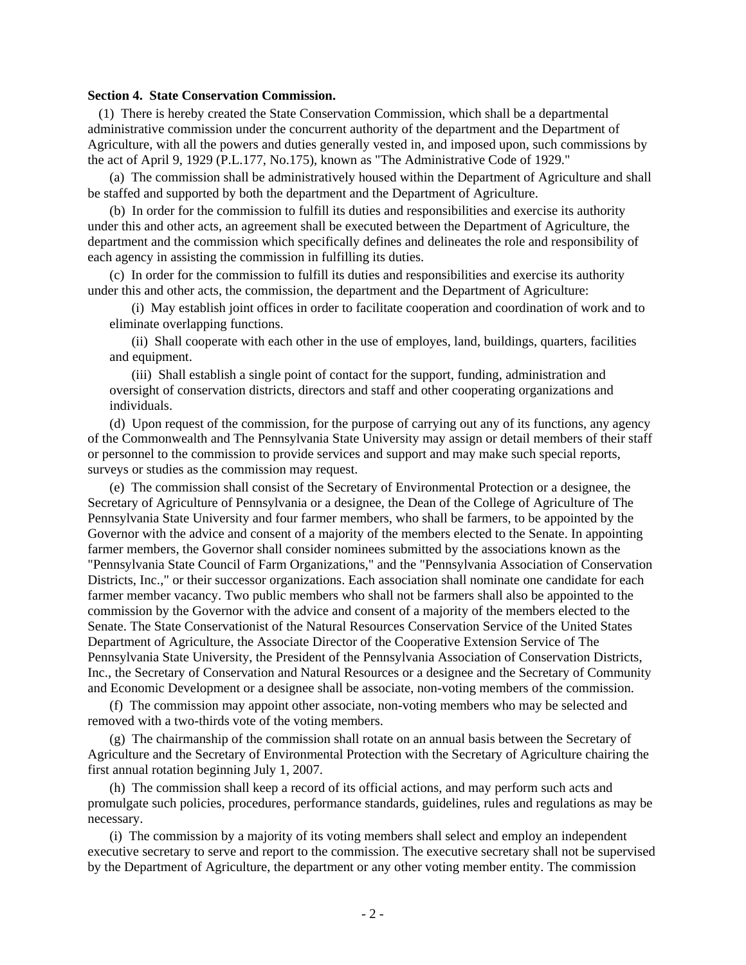#### **Section 4. State Conservation Commission.**

(1) There is hereby created the State Conservation Commission, which shall be a departmental administrative commission under the concurrent authority of the department and the Department of Agriculture, with all the powers and duties generally vested in, and imposed upon, such commissions by the act of April 9, 1929 (P.L.177, No.175), known as "The Administrative Code of 1929."

(a) The commission shall be administratively housed within the Department of Agriculture and shall be staffed and supported by both the department and the Department of Agriculture.

(b) In order for the commission to fulfill its duties and responsibilities and exercise its authority under this and other acts, an agreement shall be executed between the Department of Agriculture, the department and the commission which specifically defines and delineates the role and responsibility of each agency in assisting the commission in fulfilling its duties.

(c) In order for the commission to fulfill its duties and responsibilities and exercise its authority under this and other acts, the commission, the department and the Department of Agriculture:

(i) May establish joint offices in order to facilitate cooperation and coordination of work and to eliminate overlapping functions.

(ii) Shall cooperate with each other in the use of employes, land, buildings, quarters, facilities and equipment.

(iii) Shall establish a single point of contact for the support, funding, administration and oversight of conservation districts, directors and staff and other cooperating organizations and individuals.

(d) Upon request of the commission, for the purpose of carrying out any of its functions, any agency of the Commonwealth and The Pennsylvania State University may assign or detail members of their staff or personnel to the commission to provide services and support and may make such special reports, surveys or studies as the commission may request.

(e) The commission shall consist of the Secretary of Environmental Protection or a designee, the Secretary of Agriculture of Pennsylvania or a designee, the Dean of the College of Agriculture of The Pennsylvania State University and four farmer members, who shall be farmers, to be appointed by the Governor with the advice and consent of a majority of the members elected to the Senate. In appointing farmer members, the Governor shall consider nominees submitted by the associations known as the "Pennsylvania State Council of Farm Organizations," and the "Pennsylvania Association of Conservation Districts, Inc.," or their successor organizations. Each association shall nominate one candidate for each farmer member vacancy. Two public members who shall not be farmers shall also be appointed to the commission by the Governor with the advice and consent of a majority of the members elected to the Senate. The State Conservationist of the Natural Resources Conservation Service of the United States Department of Agriculture, the Associate Director of the Cooperative Extension Service of The Pennsylvania State University, the President of the Pennsylvania Association of Conservation Districts, Inc., the Secretary of Conservation and Natural Resources or a designee and the Secretary of Community and Economic Development or a designee shall be associate, non-voting members of the commission.

(f) The commission may appoint other associate, non-voting members who may be selected and removed with a two-thirds vote of the voting members.

(g) The chairmanship of the commission shall rotate on an annual basis between the Secretary of Agriculture and the Secretary of Environmental Protection with the Secretary of Agriculture chairing the first annual rotation beginning July 1, 2007.

(h) The commission shall keep a record of its official actions, and may perform such acts and promulgate such policies, procedures, performance standards, guidelines, rules and regulations as may be necessary.

(i) The commission by a majority of its voting members shall select and employ an independent executive secretary to serve and report to the commission. The executive secretary shall not be supervised by the Department of Agriculture, the department or any other voting member entity. The commission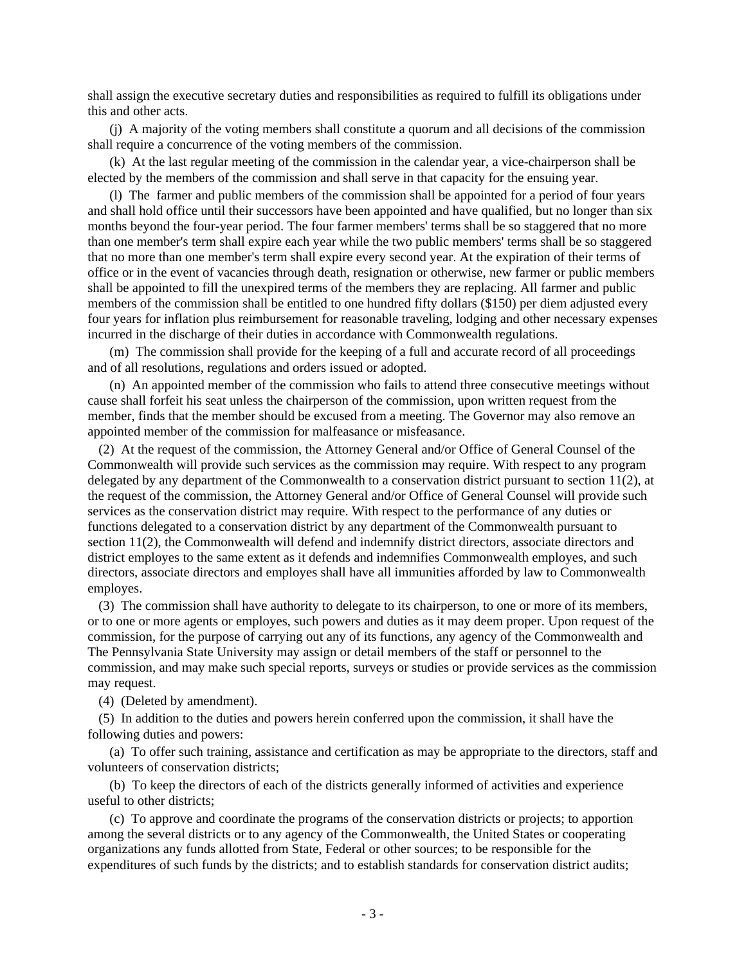shall assign the executive secretary duties and responsibilities as required to fulfill its obligations under this and other acts.

(j) A majority of the voting members shall constitute a quorum and all decisions of the commission shall require a concurrence of the voting members of the commission.

(k) At the last regular meeting of the commission in the calendar year, a vice-chairperson shall be elected by the members of the commission and shall serve in that capacity for the ensuing year.

(l) The farmer and public members of the commission shall be appointed for a period of four years and shall hold office until their successors have been appointed and have qualified, but no longer than six months beyond the four-year period. The four farmer members' terms shall be so staggered that no more than one member's term shall expire each year while the two public members' terms shall be so staggered that no more than one member's term shall expire every second year. At the expiration of their terms of office or in the event of vacancies through death, resignation or otherwise, new farmer or public members shall be appointed to fill the unexpired terms of the members they are replacing. All farmer and public members of the commission shall be entitled to one hundred fifty dollars (\$150) per diem adjusted every four years for inflation plus reimbursement for reasonable traveling, lodging and other necessary expenses incurred in the discharge of their duties in accordance with Commonwealth regulations.

(m) The commission shall provide for the keeping of a full and accurate record of all proceedings and of all resolutions, regulations and orders issued or adopted.

(n) An appointed member of the commission who fails to attend three consecutive meetings without cause shall forfeit his seat unless the chairperson of the commission, upon written request from the member, finds that the member should be excused from a meeting. The Governor may also remove an appointed member of the commission for malfeasance or misfeasance.

(2) At the request of the commission, the Attorney General and/or Office of General Counsel of the Commonwealth will provide such services as the commission may require. With respect to any program delegated by any department of the Commonwealth to a conservation district pursuant to section 11(2), at the request of the commission, the Attorney General and/or Office of General Counsel will provide such services as the conservation district may require. With respect to the performance of any duties or functions delegated to a conservation district by any department of the Commonwealth pursuant to section 11(2), the Commonwealth will defend and indemnify district directors, associate directors and district employes to the same extent as it defends and indemnifies Commonwealth employes, and such directors, associate directors and employes shall have all immunities afforded by law to Commonwealth employes.

(3) The commission shall have authority to delegate to its chairperson, to one or more of its members, or to one or more agents or employes, such powers and duties as it may deem proper. Upon request of the commission, for the purpose of carrying out any of its functions, any agency of the Commonwealth and The Pennsylvania State University may assign or detail members of the staff or personnel to the commission, and may make such special reports, surveys or studies or provide services as the commission may request.

(4) (Deleted by amendment).

(5) In addition to the duties and powers herein conferred upon the commission, it shall have the following duties and powers:

(a) To offer such training, assistance and certification as may be appropriate to the directors, staff and volunteers of conservation districts;

(b) To keep the directors of each of the districts generally informed of activities and experience useful to other districts;

(c) To approve and coordinate the programs of the conservation districts or projects; to apportion among the several districts or to any agency of the Commonwealth, the United States or cooperating organizations any funds allotted from State, Federal or other sources; to be responsible for the expenditures of such funds by the districts; and to establish standards for conservation district audits;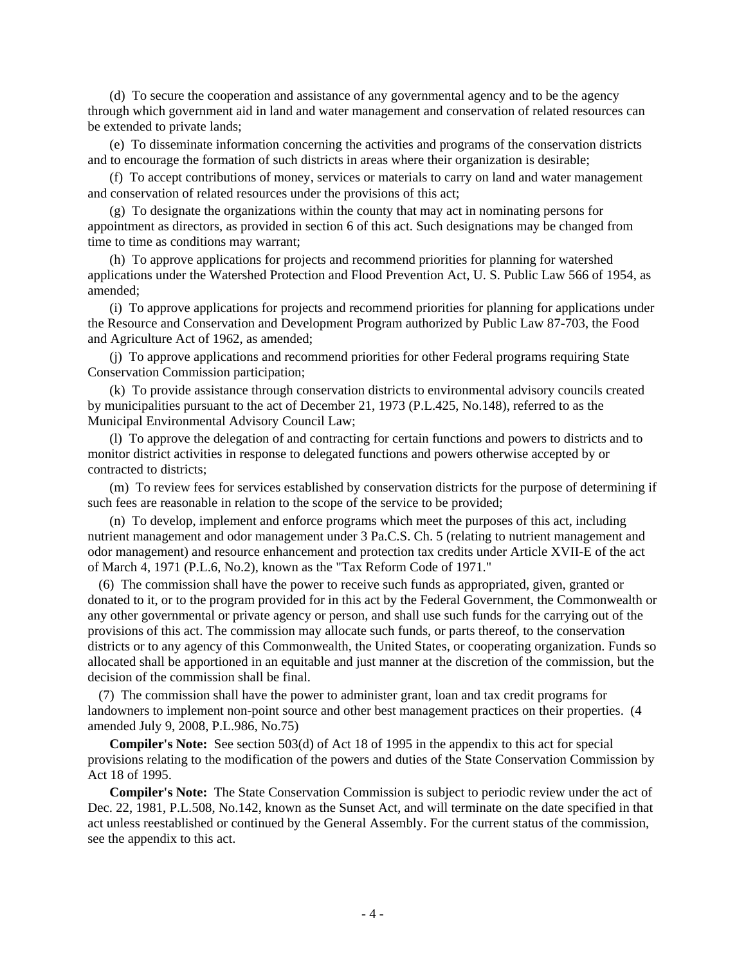(d) To secure the cooperation and assistance of any governmental agency and to be the agency through which government aid in land and water management and conservation of related resources can be extended to private lands;

(e) To disseminate information concerning the activities and programs of the conservation districts and to encourage the formation of such districts in areas where their organization is desirable;

(f) To accept contributions of money, services or materials to carry on land and water management and conservation of related resources under the provisions of this act;

(g) To designate the organizations within the county that may act in nominating persons for appointment as directors, as provided in section 6 of this act. Such designations may be changed from time to time as conditions may warrant;

(h) To approve applications for projects and recommend priorities for planning for watershed applications under the Watershed Protection and Flood Prevention Act, U. S. Public Law 566 of 1954, as amended;

(i) To approve applications for projects and recommend priorities for planning for applications under the Resource and Conservation and Development Program authorized by Public Law 87-703, the Food and Agriculture Act of 1962, as amended;

(j) To approve applications and recommend priorities for other Federal programs requiring State Conservation Commission participation;

(k) To provide assistance through conservation districts to environmental advisory councils created by municipalities pursuant to the act of December 21, 1973 (P.L.425, No.148), referred to as the Municipal Environmental Advisory Council Law;

(l) To approve the delegation of and contracting for certain functions and powers to districts and to monitor district activities in response to delegated functions and powers otherwise accepted by or contracted to districts;

(m) To review fees for services established by conservation districts for the purpose of determining if such fees are reasonable in relation to the scope of the service to be provided;

(n) To develop, implement and enforce programs which meet the purposes of this act, including nutrient management and odor management under 3 Pa.C.S. Ch. 5 (relating to nutrient management and odor management) and resource enhancement and protection tax credits under Article XVII-E of the act of March 4, 1971 (P.L.6, No.2), known as the "Tax Reform Code of 1971."

(6) The commission shall have the power to receive such funds as appropriated, given, granted or donated to it, or to the program provided for in this act by the Federal Government, the Commonwealth or any other governmental or private agency or person, and shall use such funds for the carrying out of the provisions of this act. The commission may allocate such funds, or parts thereof, to the conservation districts or to any agency of this Commonwealth, the United States, or cooperating organization. Funds so allocated shall be apportioned in an equitable and just manner at the discretion of the commission, but the decision of the commission shall be final.

(7) The commission shall have the power to administer grant, loan and tax credit programs for landowners to implement non-point source and other best management practices on their properties. (4 amended July 9, 2008, P.L.986, No.75)

**Compiler's Note:** See section 503(d) of Act 18 of 1995 in the appendix to this act for special provisions relating to the modification of the powers and duties of the State Conservation Commission by Act 18 of 1995.

**Compiler's Note:** The State Conservation Commission is subject to periodic review under the act of Dec. 22, 1981, P.L.508, No.142, known as the Sunset Act, and will terminate on the date specified in that act unless reestablished or continued by the General Assembly. For the current status of the commission, see the appendix to this act.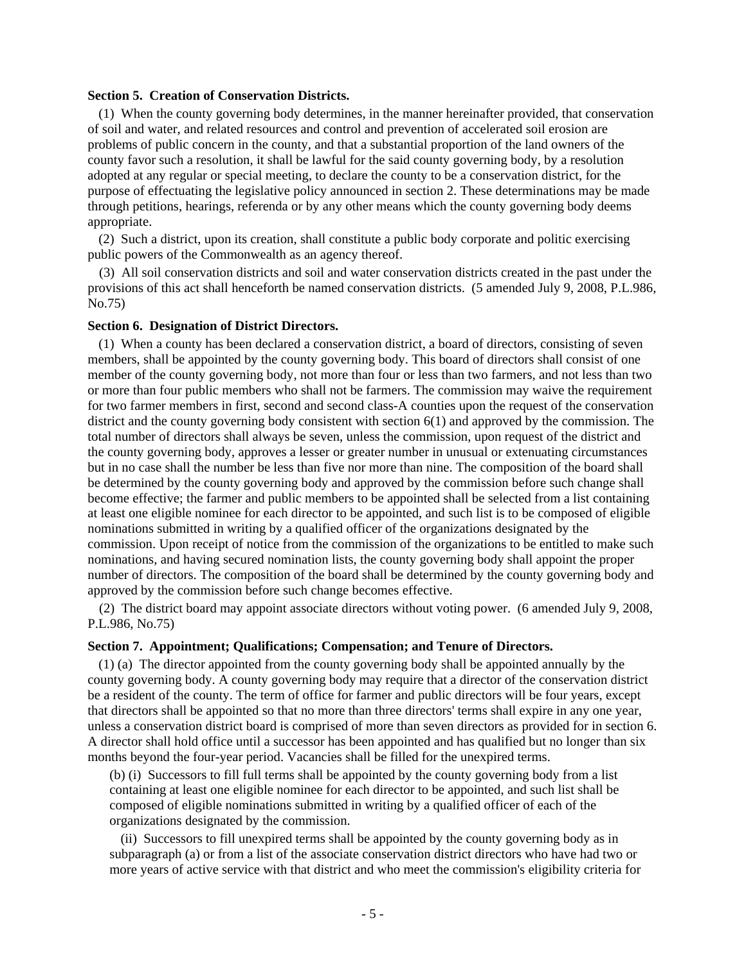#### **Section 5. Creation of Conservation Districts.**

(1) When the county governing body determines, in the manner hereinafter provided, that conservation of soil and water, and related resources and control and prevention of accelerated soil erosion are problems of public concern in the county, and that a substantial proportion of the land owners of the county favor such a resolution, it shall be lawful for the said county governing body, by a resolution adopted at any regular or special meeting, to declare the county to be a conservation district, for the purpose of effectuating the legislative policy announced in section 2. These determinations may be made through petitions, hearings, referenda or by any other means which the county governing body deems appropriate.

(2) Such a district, upon its creation, shall constitute a public body corporate and politic exercising public powers of the Commonwealth as an agency thereof.

(3) All soil conservation districts and soil and water conservation districts created in the past under the provisions of this act shall henceforth be named conservation districts. (5 amended July 9, 2008, P.L.986, No.75)

#### **Section 6. Designation of District Directors.**

(1) When a county has been declared a conservation district, a board of directors, consisting of seven members, shall be appointed by the county governing body. This board of directors shall consist of one member of the county governing body, not more than four or less than two farmers, and not less than two or more than four public members who shall not be farmers. The commission may waive the requirement for two farmer members in first, second and second class-A counties upon the request of the conservation district and the county governing body consistent with section 6(1) and approved by the commission. The total number of directors shall always be seven, unless the commission, upon request of the district and the county governing body, approves a lesser or greater number in unusual or extenuating circumstances but in no case shall the number be less than five nor more than nine. The composition of the board shall be determined by the county governing body and approved by the commission before such change shall become effective; the farmer and public members to be appointed shall be selected from a list containing at least one eligible nominee for each director to be appointed, and such list is to be composed of eligible nominations submitted in writing by a qualified officer of the organizations designated by the commission. Upon receipt of notice from the commission of the organizations to be entitled to make such nominations, and having secured nomination lists, the county governing body shall appoint the proper number of directors. The composition of the board shall be determined by the county governing body and approved by the commission before such change becomes effective.

(2) The district board may appoint associate directors without voting power. (6 amended July 9, 2008, P.L.986, No.75)

#### **Section 7. Appointment; Qualifications; Compensation; and Tenure of Directors.**

(1) (a) The director appointed from the county governing body shall be appointed annually by the county governing body. A county governing body may require that a director of the conservation district be a resident of the county. The term of office for farmer and public directors will be four years, except that directors shall be appointed so that no more than three directors' terms shall expire in any one year, unless a conservation district board is comprised of more than seven directors as provided for in section 6. A director shall hold office until a successor has been appointed and has qualified but no longer than six months beyond the four-year period. Vacancies shall be filled for the unexpired terms.

(b) (i) Successors to fill full terms shall be appointed by the county governing body from a list containing at least one eligible nominee for each director to be appointed, and such list shall be composed of eligible nominations submitted in writing by a qualified officer of each of the organizations designated by the commission.

(ii) Successors to fill unexpired terms shall be appointed by the county governing body as in subparagraph (a) or from a list of the associate conservation district directors who have had two or more years of active service with that district and who meet the commission's eligibility criteria for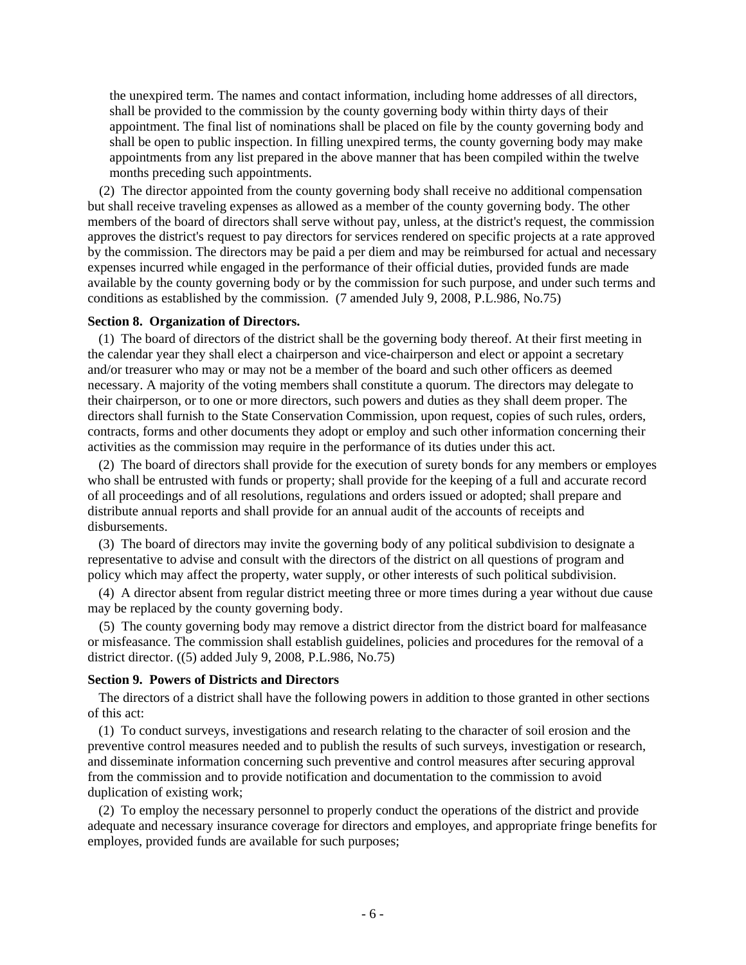the unexpired term. The names and contact information, including home addresses of all directors, shall be provided to the commission by the county governing body within thirty days of their appointment. The final list of nominations shall be placed on file by the county governing body and shall be open to public inspection. In filling unexpired terms, the county governing body may make appointments from any list prepared in the above manner that has been compiled within the twelve months preceding such appointments.

(2) The director appointed from the county governing body shall receive no additional compensation but shall receive traveling expenses as allowed as a member of the county governing body. The other members of the board of directors shall serve without pay, unless, at the district's request, the commission approves the district's request to pay directors for services rendered on specific projects at a rate approved by the commission. The directors may be paid a per diem and may be reimbursed for actual and necessary expenses incurred while engaged in the performance of their official duties, provided funds are made available by the county governing body or by the commission for such purpose, and under such terms and conditions as established by the commission. (7 amended July 9, 2008, P.L.986, No.75)

## **Section 8. Organization of Directors.**

(1) The board of directors of the district shall be the governing body thereof. At their first meeting in the calendar year they shall elect a chairperson and vice-chairperson and elect or appoint a secretary and/or treasurer who may or may not be a member of the board and such other officers as deemed necessary. A majority of the voting members shall constitute a quorum. The directors may delegate to their chairperson, or to one or more directors, such powers and duties as they shall deem proper. The directors shall furnish to the State Conservation Commission, upon request, copies of such rules, orders, contracts, forms and other documents they adopt or employ and such other information concerning their activities as the commission may require in the performance of its duties under this act.

(2) The board of directors shall provide for the execution of surety bonds for any members or employes who shall be entrusted with funds or property; shall provide for the keeping of a full and accurate record of all proceedings and of all resolutions, regulations and orders issued or adopted; shall prepare and distribute annual reports and shall provide for an annual audit of the accounts of receipts and disbursements.

(3) The board of directors may invite the governing body of any political subdivision to designate a representative to advise and consult with the directors of the district on all questions of program and policy which may affect the property, water supply, or other interests of such political subdivision.

(4) A director absent from regular district meeting three or more times during a year without due cause may be replaced by the county governing body.

(5) The county governing body may remove a district director from the district board for malfeasance or misfeasance. The commission shall establish guidelines, policies and procedures for the removal of a district director. ((5) added July 9, 2008, P.L.986, No.75)

#### **Section 9. Powers of Districts and Directors**

The directors of a district shall have the following powers in addition to those granted in other sections of this act:

(1) To conduct surveys, investigations and research relating to the character of soil erosion and the preventive control measures needed and to publish the results of such surveys, investigation or research, and disseminate information concerning such preventive and control measures after securing approval from the commission and to provide notification and documentation to the commission to avoid duplication of existing work;

(2) To employ the necessary personnel to properly conduct the operations of the district and provide adequate and necessary insurance coverage for directors and employes, and appropriate fringe benefits for employes, provided funds are available for such purposes;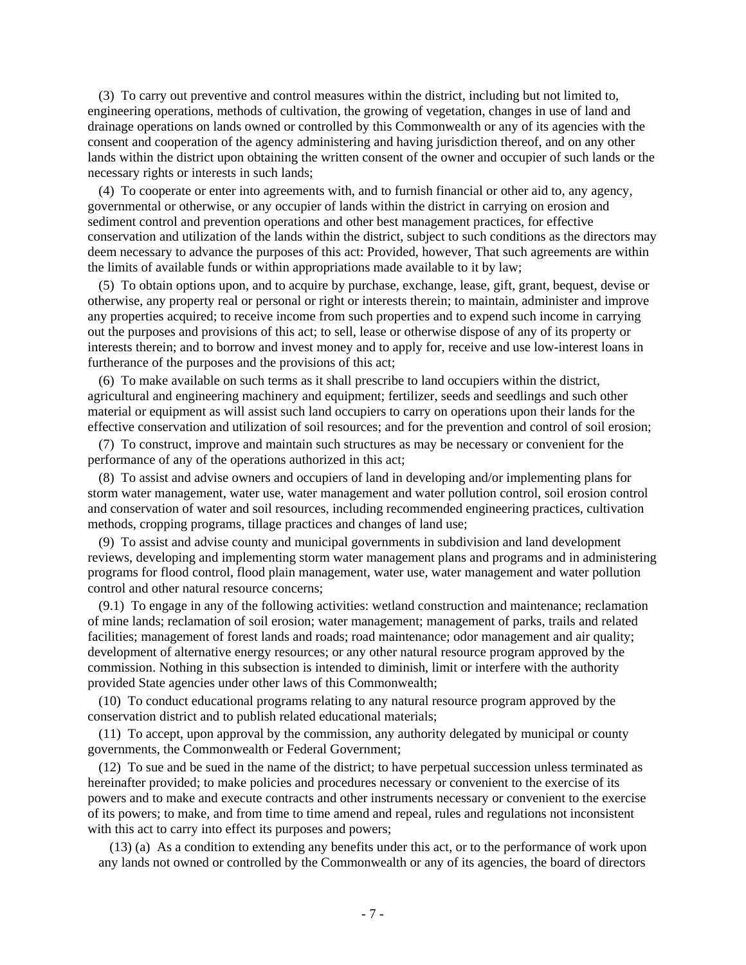(3) To carry out preventive and control measures within the district, including but not limited to, engineering operations, methods of cultivation, the growing of vegetation, changes in use of land and drainage operations on lands owned or controlled by this Commonwealth or any of its agencies with the consent and cooperation of the agency administering and having jurisdiction thereof, and on any other lands within the district upon obtaining the written consent of the owner and occupier of such lands or the necessary rights or interests in such lands;

(4) To cooperate or enter into agreements with, and to furnish financial or other aid to, any agency, governmental or otherwise, or any occupier of lands within the district in carrying on erosion and sediment control and prevention operations and other best management practices, for effective conservation and utilization of the lands within the district, subject to such conditions as the directors may deem necessary to advance the purposes of this act: Provided, however, That such agreements are within the limits of available funds or within appropriations made available to it by law;

(5) To obtain options upon, and to acquire by purchase, exchange, lease, gift, grant, bequest, devise or otherwise, any property real or personal or right or interests therein; to maintain, administer and improve any properties acquired; to receive income from such properties and to expend such income in carrying out the purposes and provisions of this act; to sell, lease or otherwise dispose of any of its property or interests therein; and to borrow and invest money and to apply for, receive and use low-interest loans in furtherance of the purposes and the provisions of this act;

(6) To make available on such terms as it shall prescribe to land occupiers within the district, agricultural and engineering machinery and equipment; fertilizer, seeds and seedlings and such other material or equipment as will assist such land occupiers to carry on operations upon their lands for the effective conservation and utilization of soil resources; and for the prevention and control of soil erosion;

(7) To construct, improve and maintain such structures as may be necessary or convenient for the performance of any of the operations authorized in this act;

(8) To assist and advise owners and occupiers of land in developing and/or implementing plans for storm water management, water use, water management and water pollution control, soil erosion control and conservation of water and soil resources, including recommended engineering practices, cultivation methods, cropping programs, tillage practices and changes of land use;

(9) To assist and advise county and municipal governments in subdivision and land development reviews, developing and implementing storm water management plans and programs and in administering programs for flood control, flood plain management, water use, water management and water pollution control and other natural resource concerns;

(9.1) To engage in any of the following activities: wetland construction and maintenance; reclamation of mine lands; reclamation of soil erosion; water management; management of parks, trails and related facilities; management of forest lands and roads; road maintenance; odor management and air quality; development of alternative energy resources; or any other natural resource program approved by the commission. Nothing in this subsection is intended to diminish, limit or interfere with the authority provided State agencies under other laws of this Commonwealth;

(10) To conduct educational programs relating to any natural resource program approved by the conservation district and to publish related educational materials;

(11) To accept, upon approval by the commission, any authority delegated by municipal or county governments, the Commonwealth or Federal Government;

(12) To sue and be sued in the name of the district; to have perpetual succession unless terminated as hereinafter provided; to make policies and procedures necessary or convenient to the exercise of its powers and to make and execute contracts and other instruments necessary or convenient to the exercise of its powers; to make, and from time to time amend and repeal, rules and regulations not inconsistent with this act to carry into effect its purposes and powers;

(13) (a) As a condition to extending any benefits under this act, or to the performance of work upon any lands not owned or controlled by the Commonwealth or any of its agencies, the board of directors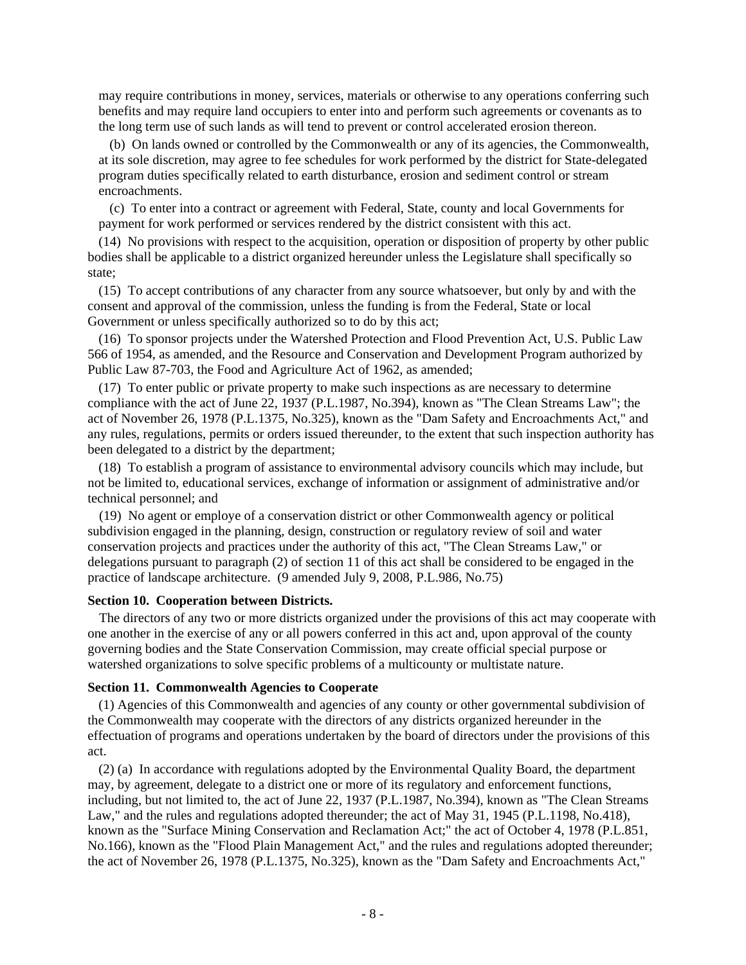may require contributions in money, services, materials or otherwise to any operations conferring such benefits and may require land occupiers to enter into and perform such agreements or covenants as to the long term use of such lands as will tend to prevent or control accelerated erosion thereon.

(b) On lands owned or controlled by the Commonwealth or any of its agencies, the Commonwealth, at its sole discretion, may agree to fee schedules for work performed by the district for State-delegated program duties specifically related to earth disturbance, erosion and sediment control or stream encroachments.

(c) To enter into a contract or agreement with Federal, State, county and local Governments for payment for work performed or services rendered by the district consistent with this act.

(14) No provisions with respect to the acquisition, operation or disposition of property by other public bodies shall be applicable to a district organized hereunder unless the Legislature shall specifically so state;

(15) To accept contributions of any character from any source whatsoever, but only by and with the consent and approval of the commission, unless the funding is from the Federal, State or local Government or unless specifically authorized so to do by this act;

(16) To sponsor projects under the Watershed Protection and Flood Prevention Act, U.S. Public Law 566 of 1954, as amended, and the Resource and Conservation and Development Program authorized by Public Law 87-703, the Food and Agriculture Act of 1962, as amended;

(17) To enter public or private property to make such inspections as are necessary to determine compliance with the act of June 22, 1937 (P.L.1987, No.394), known as "The Clean Streams Law"; the act of November 26, 1978 (P.L.1375, No.325), known as the "Dam Safety and Encroachments Act," and any rules, regulations, permits or orders issued thereunder, to the extent that such inspection authority has been delegated to a district by the department;

(18) To establish a program of assistance to environmental advisory councils which may include, but not be limited to, educational services, exchange of information or assignment of administrative and/or technical personnel; and

(19) No agent or employe of a conservation district or other Commonwealth agency or political subdivision engaged in the planning, design, construction or regulatory review of soil and water conservation projects and practices under the authority of this act, "The Clean Streams Law," or delegations pursuant to paragraph (2) of section 11 of this act shall be considered to be engaged in the practice of landscape architecture. (9 amended July 9, 2008, P.L.986, No.75)

#### **Section 10. Cooperation between Districts.**

The directors of any two or more districts organized under the provisions of this act may cooperate with one another in the exercise of any or all powers conferred in this act and, upon approval of the county governing bodies and the State Conservation Commission, may create official special purpose or watershed organizations to solve specific problems of a multicounty or multistate nature.

#### **Section 11. Commonwealth Agencies to Cooperate**

(1) Agencies of this Commonwealth and agencies of any county or other governmental subdivision of the Commonwealth may cooperate with the directors of any districts organized hereunder in the effectuation of programs and operations undertaken by the board of directors under the provisions of this act.

(2) (a) In accordance with regulations adopted by the Environmental Quality Board, the department may, by agreement, delegate to a district one or more of its regulatory and enforcement functions, including, but not limited to, the act of June 22, 1937 (P.L.1987, No.394), known as "The Clean Streams Law," and the rules and regulations adopted thereunder; the act of May 31, 1945 (P.L.1198, No.418), known as the "Surface Mining Conservation and Reclamation Act;" the act of October 4, 1978 (P.L.851, No.166), known as the "Flood Plain Management Act," and the rules and regulations adopted thereunder; the act of November 26, 1978 (P.L.1375, No.325), known as the "Dam Safety and Encroachments Act,"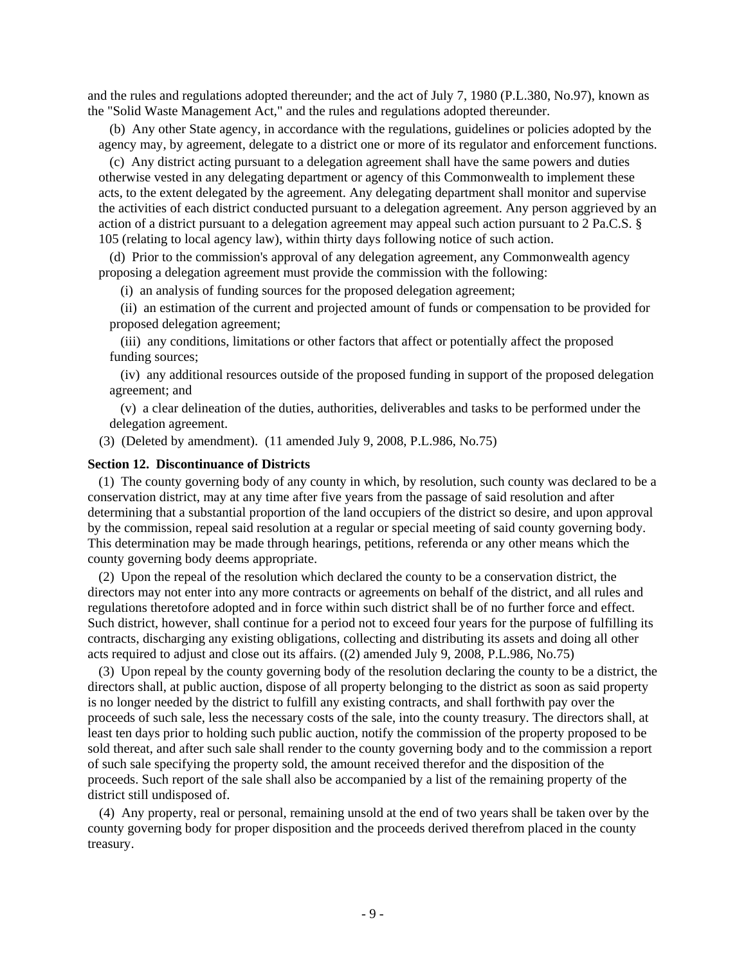and the rules and regulations adopted thereunder; and the act of July 7, 1980 (P.L.380, No.97), known as the "Solid Waste Management Act," and the rules and regulations adopted thereunder.

(b) Any other State agency, in accordance with the regulations, guidelines or policies adopted by the agency may, by agreement, delegate to a district one or more of its regulator and enforcement functions.

(c) Any district acting pursuant to a delegation agreement shall have the same powers and duties otherwise vested in any delegating department or agency of this Commonwealth to implement these acts, to the extent delegated by the agreement. Any delegating department shall monitor and supervise the activities of each district conducted pursuant to a delegation agreement. Any person aggrieved by an action of a district pursuant to a delegation agreement may appeal such action pursuant to 2 Pa.C.S. § 105 (relating to local agency law), within thirty days following notice of such action.

(d) Prior to the commission's approval of any delegation agreement, any Commonwealth agency proposing a delegation agreement must provide the commission with the following:

(i) an analysis of funding sources for the proposed delegation agreement;

(ii) an estimation of the current and projected amount of funds or compensation to be provided for proposed delegation agreement;

(iii) any conditions, limitations or other factors that affect or potentially affect the proposed funding sources;

(iv) any additional resources outside of the proposed funding in support of the proposed delegation agreement; and

(v) a clear delineation of the duties, authorities, deliverables and tasks to be performed under the delegation agreement.

(3) (Deleted by amendment). (11 amended July 9, 2008, P.L.986, No.75)

#### **Section 12. Discontinuance of Districts**

(1) The county governing body of any county in which, by resolution, such county was declared to be a conservation district, may at any time after five years from the passage of said resolution and after determining that a substantial proportion of the land occupiers of the district so desire, and upon approval by the commission, repeal said resolution at a regular or special meeting of said county governing body. This determination may be made through hearings, petitions, referenda or any other means which the county governing body deems appropriate.

(2) Upon the repeal of the resolution which declared the county to be a conservation district, the directors may not enter into any more contracts or agreements on behalf of the district, and all rules and regulations theretofore adopted and in force within such district shall be of no further force and effect. Such district, however, shall continue for a period not to exceed four years for the purpose of fulfilling its contracts, discharging any existing obligations, collecting and distributing its assets and doing all other acts required to adjust and close out its affairs. ((2) amended July 9, 2008, P.L.986, No.75)

(3) Upon repeal by the county governing body of the resolution declaring the county to be a district, the directors shall, at public auction, dispose of all property belonging to the district as soon as said property is no longer needed by the district to fulfill any existing contracts, and shall forthwith pay over the proceeds of such sale, less the necessary costs of the sale, into the county treasury. The directors shall, at least ten days prior to holding such public auction, notify the commission of the property proposed to be sold thereat, and after such sale shall render to the county governing body and to the commission a report of such sale specifying the property sold, the amount received therefor and the disposition of the proceeds. Such report of the sale shall also be accompanied by a list of the remaining property of the district still undisposed of.

(4) Any property, real or personal, remaining unsold at the end of two years shall be taken over by the county governing body for proper disposition and the proceeds derived therefrom placed in the county treasury.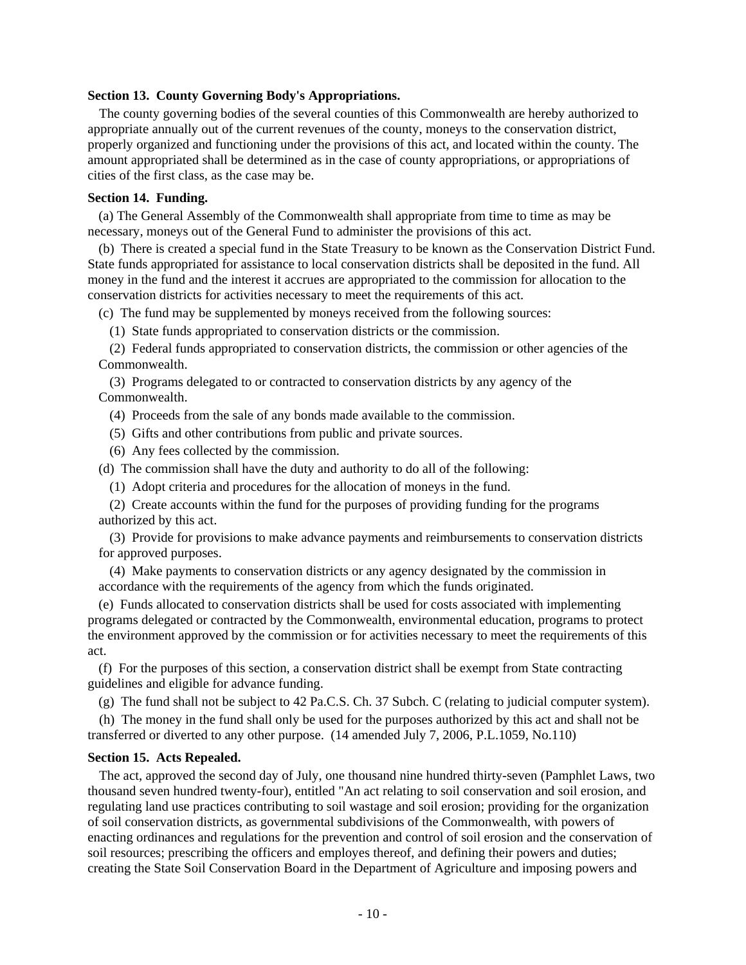#### **Section 13. County Governing Body's Appropriations.**

The county governing bodies of the several counties of this Commonwealth are hereby authorized to appropriate annually out of the current revenues of the county, moneys to the conservation district, properly organized and functioning under the provisions of this act, and located within the county. The amount appropriated shall be determined as in the case of county appropriations, or appropriations of cities of the first class, as the case may be.

#### **Section 14. Funding.**

(a) The General Assembly of the Commonwealth shall appropriate from time to time as may be necessary, moneys out of the General Fund to administer the provisions of this act.

(b) There is created a special fund in the State Treasury to be known as the Conservation District Fund. State funds appropriated for assistance to local conservation districts shall be deposited in the fund. All money in the fund and the interest it accrues are appropriated to the commission for allocation to the conservation districts for activities necessary to meet the requirements of this act.

(c) The fund may be supplemented by moneys received from the following sources:

(1) State funds appropriated to conservation districts or the commission.

(2) Federal funds appropriated to conservation districts, the commission or other agencies of the Commonwealth.

(3) Programs delegated to or contracted to conservation districts by any agency of the Commonwealth.

(4) Proceeds from the sale of any bonds made available to the commission.

- (5) Gifts and other contributions from public and private sources.
- (6) Any fees collected by the commission.

(d) The commission shall have the duty and authority to do all of the following:

(1) Adopt criteria and procedures for the allocation of moneys in the fund.

(2) Create accounts within the fund for the purposes of providing funding for the programs authorized by this act.

(3) Provide for provisions to make advance payments and reimbursements to conservation districts for approved purposes.

(4) Make payments to conservation districts or any agency designated by the commission in accordance with the requirements of the agency from which the funds originated.

(e) Funds allocated to conservation districts shall be used for costs associated with implementing programs delegated or contracted by the Commonwealth, environmental education, programs to protect the environment approved by the commission or for activities necessary to meet the requirements of this act.

(f) For the purposes of this section, a conservation district shall be exempt from State contracting guidelines and eligible for advance funding.

(g) The fund shall not be subject to 42 Pa.C.S. Ch. 37 Subch. C (relating to judicial computer system).

(h) The money in the fund shall only be used for the purposes authorized by this act and shall not be transferred or diverted to any other purpose. (14 amended July 7, 2006, P.L.1059, No.110)

#### **Section 15. Acts Repealed.**

The act, approved the second day of July, one thousand nine hundred thirty-seven (Pamphlet Laws, two thousand seven hundred twenty-four), entitled "An act relating to soil conservation and soil erosion, and regulating land use practices contributing to soil wastage and soil erosion; providing for the organization of soil conservation districts, as governmental subdivisions of the Commonwealth, with powers of enacting ordinances and regulations for the prevention and control of soil erosion and the conservation of soil resources; prescribing the officers and employes thereof, and defining their powers and duties; creating the State Soil Conservation Board in the Department of Agriculture and imposing powers and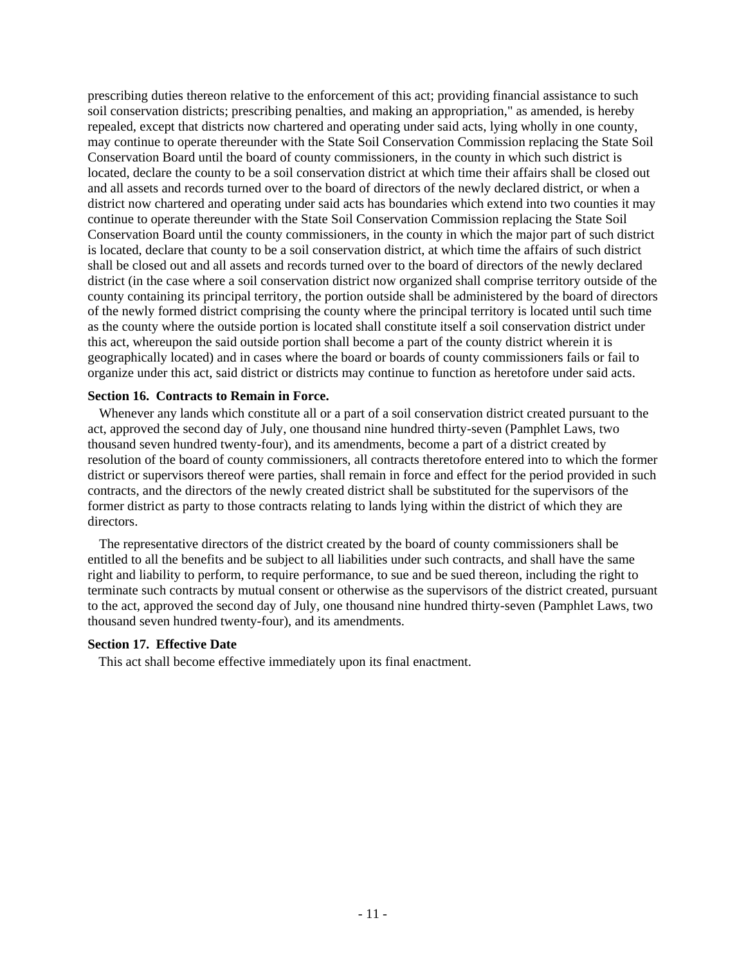prescribing duties thereon relative to the enforcement of this act; providing financial assistance to such soil conservation districts; prescribing penalties, and making an appropriation," as amended, is hereby repealed, except that districts now chartered and operating under said acts, lying wholly in one county, may continue to operate thereunder with the State Soil Conservation Commission replacing the State Soil Conservation Board until the board of county commissioners, in the county in which such district is located, declare the county to be a soil conservation district at which time their affairs shall be closed out and all assets and records turned over to the board of directors of the newly declared district, or when a district now chartered and operating under said acts has boundaries which extend into two counties it may continue to operate thereunder with the State Soil Conservation Commission replacing the State Soil Conservation Board until the county commissioners, in the county in which the major part of such district is located, declare that county to be a soil conservation district, at which time the affairs of such district shall be closed out and all assets and records turned over to the board of directors of the newly declared district (in the case where a soil conservation district now organized shall comprise territory outside of the county containing its principal territory, the portion outside shall be administered by the board of directors of the newly formed district comprising the county where the principal territory is located until such time as the county where the outside portion is located shall constitute itself a soil conservation district under this act, whereupon the said outside portion shall become a part of the county district wherein it is geographically located) and in cases where the board or boards of county commissioners fails or fail to organize under this act, said district or districts may continue to function as heretofore under said acts.

#### **Section 16. Contracts to Remain in Force.**

Whenever any lands which constitute all or a part of a soil conservation district created pursuant to the act, approved the second day of July, one thousand nine hundred thirty-seven (Pamphlet Laws, two thousand seven hundred twenty-four), and its amendments, become a part of a district created by resolution of the board of county commissioners, all contracts theretofore entered into to which the former district or supervisors thereof were parties, shall remain in force and effect for the period provided in such contracts, and the directors of the newly created district shall be substituted for the supervisors of the former district as party to those contracts relating to lands lying within the district of which they are directors.

The representative directors of the district created by the board of county commissioners shall be entitled to all the benefits and be subject to all liabilities under such contracts, and shall have the same right and liability to perform, to require performance, to sue and be sued thereon, including the right to terminate such contracts by mutual consent or otherwise as the supervisors of the district created, pursuant to the act, approved the second day of July, one thousand nine hundred thirty-seven (Pamphlet Laws, two thousand seven hundred twenty-four), and its amendments.

## **Section 17. Effective Date**

This act shall become effective immediately upon its final enactment.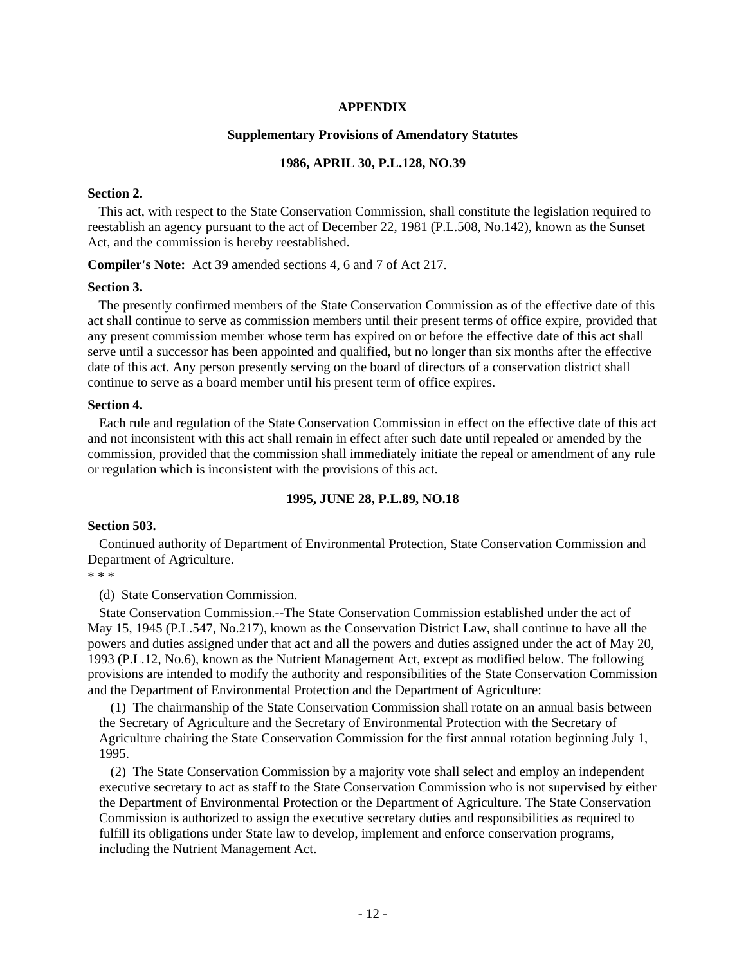## **APPENDIX**

#### **Supplementary Provisions of Amendatory Statutes**

## **1986, APRIL 30, P.L.128, NO.39**

## **Section 2.**

This act, with respect to the State Conservation Commission, shall constitute the legislation required to reestablish an agency pursuant to the act of December 22, 1981 (P.L.508, No.142), known as the Sunset Act, and the commission is hereby reestablished.

**Compiler's Note:** Act 39 amended sections 4, 6 and 7 of Act 217.

#### **Section 3.**

The presently confirmed members of the State Conservation Commission as of the effective date of this act shall continue to serve as commission members until their present terms of office expire, provided that any present commission member whose term has expired on or before the effective date of this act shall serve until a successor has been appointed and qualified, but no longer than six months after the effective date of this act. Any person presently serving on the board of directors of a conservation district shall continue to serve as a board member until his present term of office expires.

#### **Section 4.**

Each rule and regulation of the State Conservation Commission in effect on the effective date of this act and not inconsistent with this act shall remain in effect after such date until repealed or amended by the commission, provided that the commission shall immediately initiate the repeal or amendment of any rule or regulation which is inconsistent with the provisions of this act.

#### **1995, JUNE 28, P.L.89, NO.18**

# **Section 503.**

Continued authority of Department of Environmental Protection, State Conservation Commission and Department of Agriculture.

## \* \* \*

(d) State Conservation Commission.

State Conservation Commission.--The State Conservation Commission established under the act of May 15, 1945 (P.L.547, No.217), known as the Conservation District Law, shall continue to have all the powers and duties assigned under that act and all the powers and duties assigned under the act of May 20, 1993 (P.L.12, No.6), known as the Nutrient Management Act, except as modified below. The following provisions are intended to modify the authority and responsibilities of the State Conservation Commission and the Department of Environmental Protection and the Department of Agriculture:

(1) The chairmanship of the State Conservation Commission shall rotate on an annual basis between the Secretary of Agriculture and the Secretary of Environmental Protection with the Secretary of Agriculture chairing the State Conservation Commission for the first annual rotation beginning July 1, 1995.

(2) The State Conservation Commission by a majority vote shall select and employ an independent executive secretary to act as staff to the State Conservation Commission who is not supervised by either the Department of Environmental Protection or the Department of Agriculture. The State Conservation Commission is authorized to assign the executive secretary duties and responsibilities as required to fulfill its obligations under State law to develop, implement and enforce conservation programs, including the Nutrient Management Act.